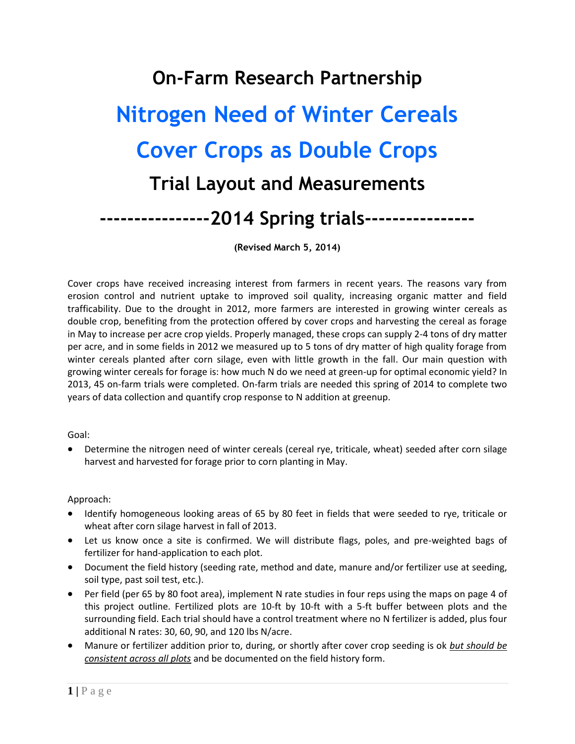# **On-Farm Research Partnership Nitrogen Need of Winter Cereals Cover Crops as Double Crops Trial Layout and Measurements ----------------2014 Spring trials----------------**

**(Revised March 5, 2014)**

Cover crops have received increasing interest from farmers in recent years. The reasons vary from erosion control and nutrient uptake to improved soil quality, increasing organic matter and field trafficability. Due to the drought in 2012, more farmers are interested in growing winter cereals as double crop, benefiting from the protection offered by cover crops and harvesting the cereal as forage in May to increase per acre crop yields. Properly managed, these crops can supply 2-4 tons of dry matter per acre, and in some fields in 2012 we measured up to 5 tons of dry matter of high quality forage from winter cereals planted after corn silage, even with little growth in the fall. Our main question with growing winter cereals for forage is: how much N do we need at green-up for optimal economic yield? In 2013, 45 on-farm trials were completed. On-farm trials are needed this spring of 2014 to complete two years of data collection and quantify crop response to N addition at greenup.

Goal:

 Determine the nitrogen need of winter cereals (cereal rye, triticale, wheat) seeded after corn silage harvest and harvested for forage prior to corn planting in May.

Approach:

- Identify homogeneous looking areas of 65 by 80 feet in fields that were seeded to rye, triticale or wheat after corn silage harvest in fall of 2013.
- Let us know once a site is confirmed. We will distribute flags, poles, and pre-weighted bags of fertilizer for hand-application to each plot.
- Document the field history (seeding rate, method and date, manure and/or fertilizer use at seeding, soil type, past soil test, etc.).
- Per field (per 65 by 80 foot area), implement N rate studies in four reps using the maps on page 4 of this project outline. Fertilized plots are 10-ft by 10-ft with a 5-ft buffer between plots and the surrounding field. Each trial should have a control treatment where no N fertilizer is added, plus four additional N rates: 30, 60, 90, and 120 lbs N/acre.
- Manure or fertilizer addition prior to, during, or shortly after cover crop seeding is ok *but should be consistent across all plots* and be documented on the field history form.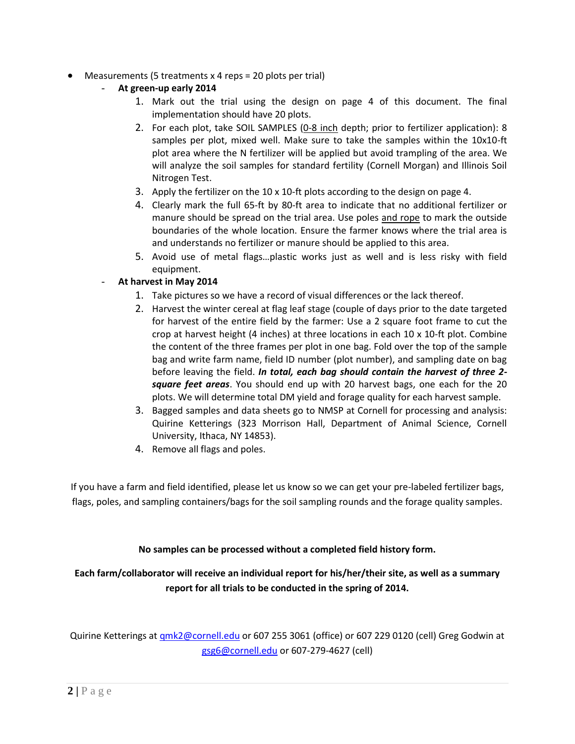- Measurements (5 treatments x 4 reps = 20 plots per trial)
	- **At green-up early 2014**
		- 1. Mark out the trial using the design on page 4 of this document. The final implementation should have 20 plots.
		- 2. For each plot, take SOIL SAMPLES (0-8 inch depth; prior to fertilizer application): 8 samples per plot, mixed well. Make sure to take the samples within the 10x10-ft plot area where the N fertilizer will be applied but avoid trampling of the area. We will analyze the soil samples for standard fertility (Cornell Morgan) and Illinois Soil Nitrogen Test.
		- 3. Apply the fertilizer on the 10 x 10-ft plots according to the design on page 4.
		- 4. Clearly mark the full 65-ft by 80-ft area to indicate that no additional fertilizer or manure should be spread on the trial area. Use poles and rope to mark the outside boundaries of the whole location. Ensure the farmer knows where the trial area is and understands no fertilizer or manure should be applied to this area.
		- 5. Avoid use of metal flags…plastic works just as well and is less risky with field equipment.
	- **At harvest in May 2014**
		- 1. Take pictures so we have a record of visual differences or the lack thereof.
		- 2. Harvest the winter cereal at flag leaf stage (couple of days prior to the date targeted for harvest of the entire field by the farmer: Use a 2 square foot frame to cut the crop at harvest height (4 inches) at three locations in each 10 x 10-ft plot. Combine the content of the three frames per plot in one bag. Fold over the top of the sample bag and write farm name, field ID number (plot number), and sampling date on bag before leaving the field. *In total, each bag should contain the harvest of three 2 square feet areas*. You should end up with 20 harvest bags, one each for the 20 plots. We will determine total DM yield and forage quality for each harvest sample.
		- 3. Bagged samples and data sheets go to NMSP at Cornell for processing and analysis: Quirine Ketterings (323 Morrison Hall, Department of Animal Science, Cornell University, Ithaca, NY 14853).
		- 4. Remove all flags and poles.

If you have a farm and field identified, please let us know so we can get your pre-labeled fertilizer bags, flags, poles, and sampling containers/bags for the soil sampling rounds and the forage quality samples.

### **No samples can be processed without a completed field history form.**

### **Each farm/collaborator will receive an individual report for his/her/their site, as well as a summary report for all trials to be conducted in the spring of 2014.**

Quirine Ketterings at [qmk2@cornell.edu](mailto:qmk2@cornell.edu) or 607 255 3061 (office) or 607 229 0120 (cell) Greg Godwin at [gsg6@cornell.edu](mailto:gsg6@cornell.edu) or 607-279-4627 (cell)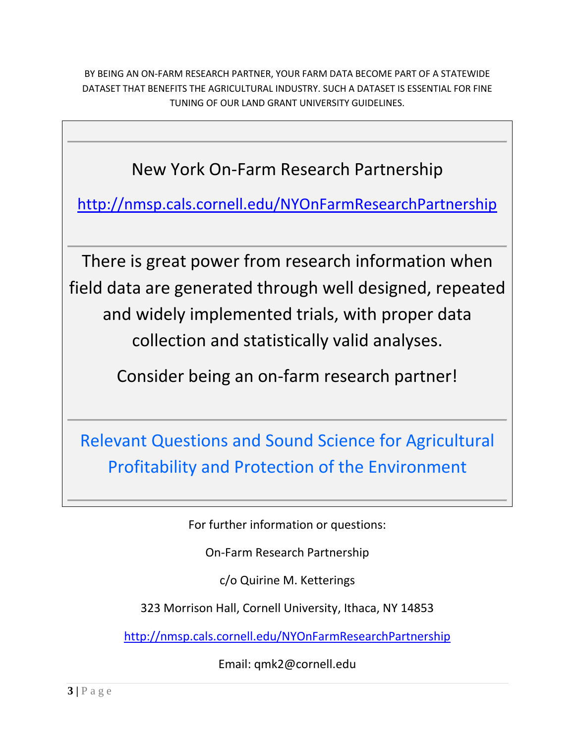BY BEING AN ON-FARM RESEARCH PARTNER, YOUR FARM DATA BECOME PART OF A STATEWIDE DATASET THAT BENEFITS THE AGRICULTURAL INDUSTRY. SUCH A DATASET IS ESSENTIAL FOR FINE TUNING OF OUR LAND GRANT UNIVERSITY GUIDELINES.

New York On-Farm Research Partnership

<http://nmsp.cals.cornell.edu/NYOnFarmResearchPartnership>

There is great power from research information when field data are generated through well designed, repeated and widely implemented trials, with proper data collection and statistically valid analyses.

Consider being an on-farm research partner!

Relevant Questions and Sound Science for Agricultural Profitability and Protection of the Environment

For further information or questions:

On-Farm Research Partnership

c/o Quirine M. Ketterings

323 Morrison Hall, Cornell University, Ithaca, NY 14853

<http://nmsp.cals.cornell.edu/NYOnFarmResearchPartnership>

Email: qmk2@cornell.edu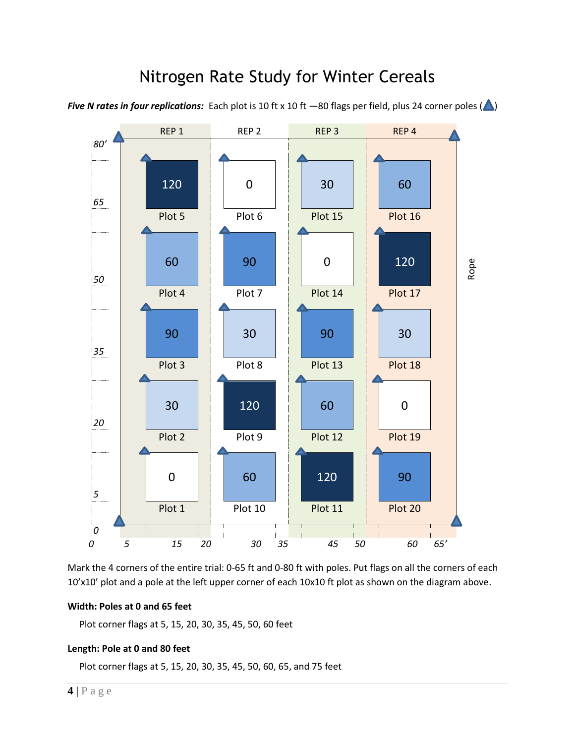## Nitrogen Rate Study for Winter Cereals

*Five N rates in four replications:* Each plot is 10 ft x 10 ft  $-80$  flags per field, plus 24 corner poles ( $\bigtriangleup$ )



Mark the 4 corners of the entire trial: 0-65 ft and 0-80 ft with poles. Put flags on all the corners of each 10'x10' plot and a pole at the left upper corner of each 10x10 ft plot as shown on the diagram above.

#### **Width: Poles at 0 and 65 feet**

Plot corner flags at 5, 15, 20, 30, 35, 45, 50, 60 feet

### **Length: Pole at 0 and 80 feet**

Plot corner flags at 5, 15, 20, 30, 35, 45, 50, 60, 65, and 75 feet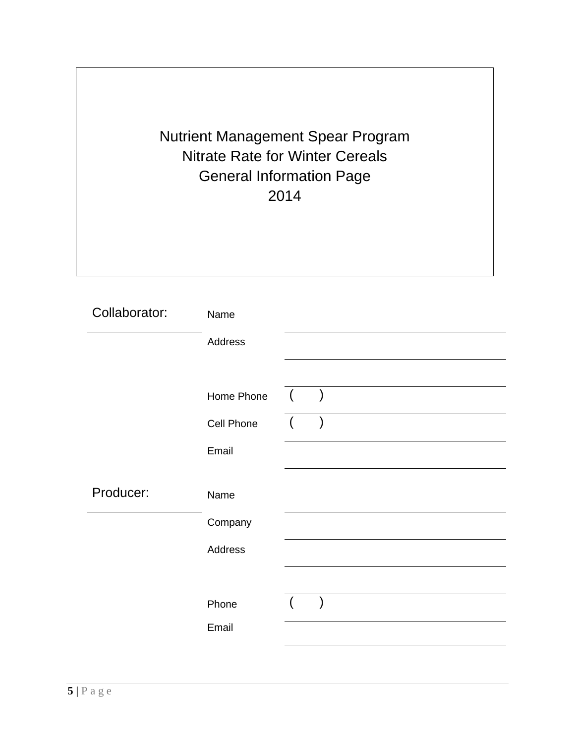Nutrient Management Spear Program Nitrate Rate for Winter Cereals General Information Page 2014

| Collaborator: | Name       |  |  |  |  |
|---------------|------------|--|--|--|--|
|               | Address    |  |  |  |  |
|               |            |  |  |  |  |
|               | Home Phone |  |  |  |  |
|               | Cell Phone |  |  |  |  |
|               | Email      |  |  |  |  |
| Producer:     |            |  |  |  |  |
|               | Name       |  |  |  |  |
|               | Company    |  |  |  |  |
|               | Address    |  |  |  |  |
|               |            |  |  |  |  |
|               | Phone      |  |  |  |  |
|               | Email      |  |  |  |  |
|               |            |  |  |  |  |